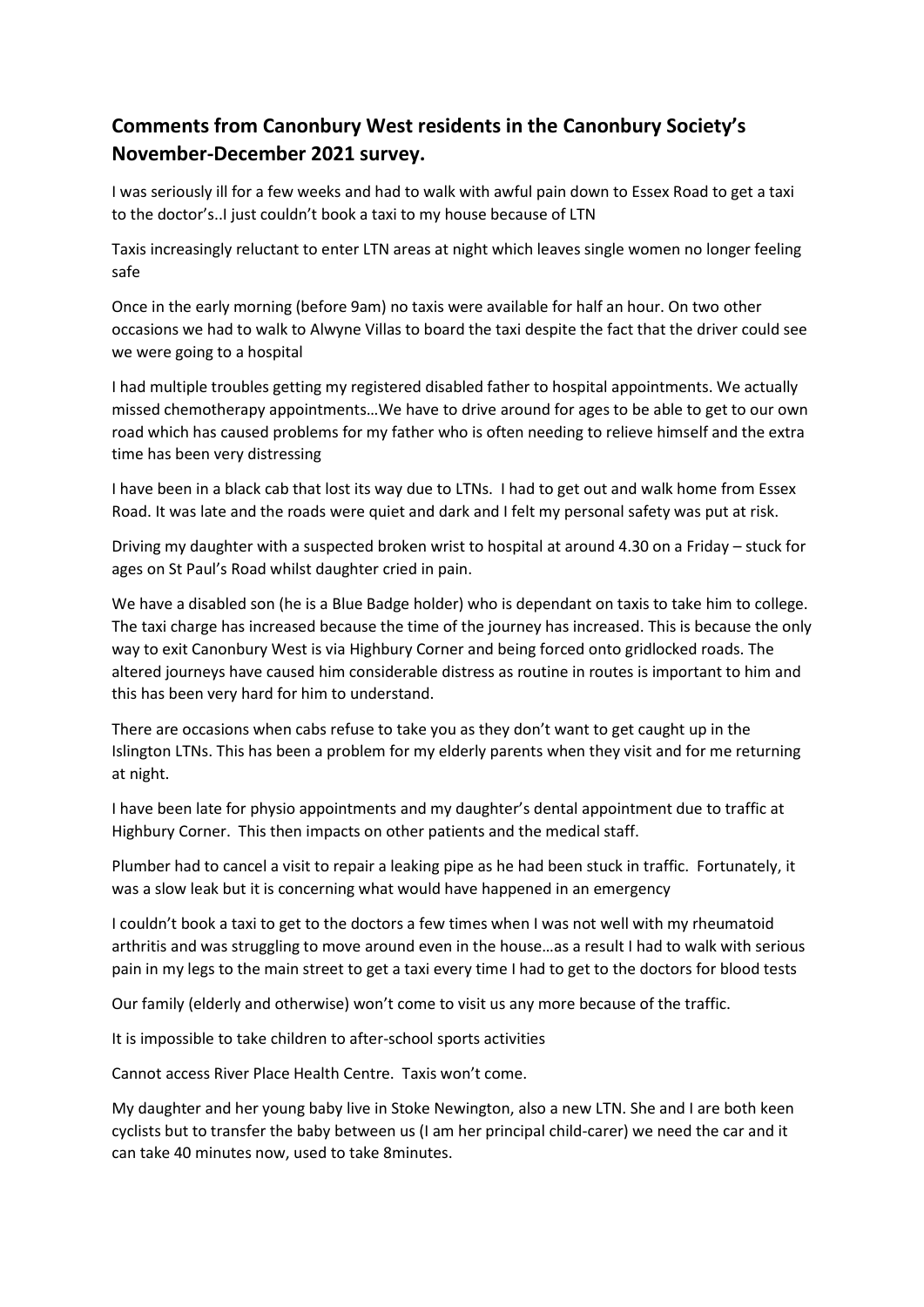## **Comments from Canonbury West residents in the Canonbury Society's November-December 2021 survey.**

I was seriously ill for a few weeks and had to walk with awful pain down to Essex Road to get a taxi to the doctor's..I just couldn't book a taxi to my house because of LTN

Taxis increasingly reluctant to enter LTN areas at night which leaves single women no longer feeling safe

Once in the early morning (before 9am) no taxis were available for half an hour. On two other occasions we had to walk to Alwyne Villas to board the taxi despite the fact that the driver could see we were going to a hospital

I had multiple troubles getting my registered disabled father to hospital appointments. We actually missed chemotherapy appointments…We have to drive around for ages to be able to get to our own road which has caused problems for my father who is often needing to relieve himself and the extra time has been very distressing

I have been in a black cab that lost its way due to LTNs. I had to get out and walk home from Essex Road. It was late and the roads were quiet and dark and I felt my personal safety was put at risk.

Driving my daughter with a suspected broken wrist to hospital at around 4.30 on a Friday – stuck for ages on St Paul's Road whilst daughter cried in pain.

We have a disabled son (he is a Blue Badge holder) who is dependant on taxis to take him to college. The taxi charge has increased because the time of the journey has increased. This is because the only way to exit Canonbury West is via Highbury Corner and being forced onto gridlocked roads. The altered journeys have caused him considerable distress as routine in routes is important to him and this has been very hard for him to understand.

There are occasions when cabs refuse to take you as they don't want to get caught up in the Islington LTNs. This has been a problem for my elderly parents when they visit and for me returning at night.

I have been late for physio appointments and my daughter's dental appointment due to traffic at Highbury Corner. This then impacts on other patients and the medical staff.

Plumber had to cancel a visit to repair a leaking pipe as he had been stuck in traffic. Fortunately, it was a slow leak but it is concerning what would have happened in an emergency

I couldn't book a taxi to get to the doctors a few times when I was not well with my rheumatoid arthritis and was struggling to move around even in the house…as a result I had to walk with serious pain in my legs to the main street to get a taxi every time I had to get to the doctors for blood tests

Our family (elderly and otherwise) won't come to visit us any more because of the traffic.

It is impossible to take children to after-school sports activities

Cannot access River Place Health Centre. Taxis won't come.

My daughter and her young baby live in Stoke Newington, also a new LTN. She and I are both keen cyclists but to transfer the baby between us (I am her principal child-carer) we need the car and it can take 40 minutes now, used to take 8minutes.